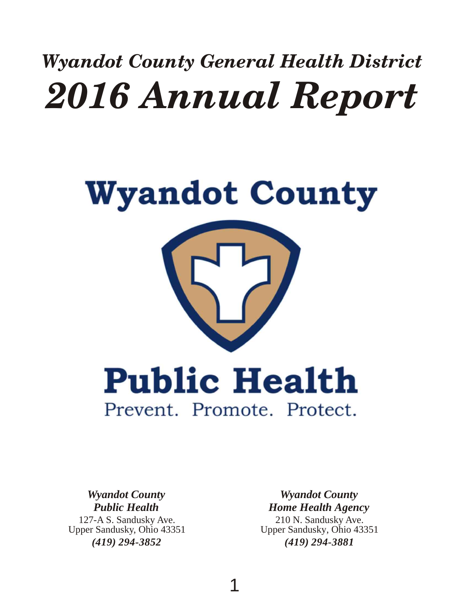# *Wyandot County General Health District 2016 Annual Report*

# **Wyandot County Public Health** Prevent. Promote. Protect.

127-A S. Sandusky Ave. Upper Sandusky, Ohio 43351 *(419) 294-3852 Wyandot County Public Health*

*Wyandot County Home Health Agency*

210 N. Sandusky Ave. Upper Sandusky, Ohio 43351 *(419) 294-3881*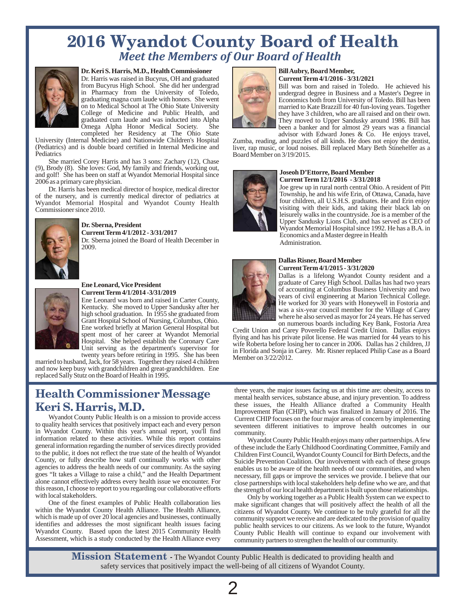# *Meet the Members of Our Board of Health* **2016 Wyandot County Board of Health**



# **Dr. Keri S. Harris, M.D., Health Commissioner Bill Aubry, Board Member, Dr. Harris was raised in Bucyrus, OH** and graduated **Bill Aubry, Board Member, Bill Aubry, Board Member,**

Dr. Harris was raised in Bucyrus, OH and graduated

She married Corey Harris and has 3 sons: Zachary (12), Chase (9), Brody (8). She loves: God, My family and friends, working out, (9), Brody (9). She loves: God, My family and friends, working out,<br>and golf! She has been on staff at Wyandot Memorial Hospital since<br>2006 as a primary care physician.

Dr. Harris has been medical director of hospice, medical director Joe grew up in rural north central Ohio. A resident of Pitter of negative and is currently medical director of pediatrics at Township, he and his wife Erin, Township, he and his wife Erin, of Ottawa, Canada, have<br>Mondot Memorial Hospital and Wyandot County Health<br>Wyandot Memorial Hospital and Wyandot County Health Wyandot Memorial Hospital and Wyandot County Health Commissioner since 2010. Commissioner since 2010.



Dr. Sberna joined the Board of Health December in Administration.<br>
2009.



**Ene Leonard, Vice President**<br> **Current Term 4/1/2014 -3/31/2019**<br> **Current Term 4/1/2014 -3/31/2019**<br>
Ene Leonard was born and raised in Carter County,<br>
Ene Leonard was born and raised in Carter County,<br>
Ene Leonard was a

and now keep busy with grandchildren and great-grandchildren. Ene replaced Sally Stutz on the Board of Health in 1995.

# **Health Commissioner Message Keri S. Harris, M.D.**<br>Wyandot County Public Health is on a mission to provide access

in Wyandot County. Within this year's annual report, you'll find community.<br>information related to these activities. While this report contains Wyand this reason, I choose to report to you regarding our collaborative efforts the strength of our local health department is built upon those relationships.<br>Only by working together as a Public Health System can we expect to

Wyandot County. Based upon the latest 2015 Community Health Assessment, which is a study conducted by the Health Alliance every



from Bucyrus High School. She did her undergrad Bill was born and raised in Toledo. He achieved his in Pharmacy from the University of Toledo, in Pharmacy from the University of Toledo, undergrad degree in Business and a Master's Degree in graduating magna cum laude with honors. She went Economics both from University of Toledo. Bill has been graduating magna cum laude with honors. She went and Economics both from University of Toledo. Bill has been<br>In arried to Kate Brazzill for 40 fun-loving vears. Together on to Medical School at The Ohio State University married to Kate Brazzill for 40 fun-loving years. Together College of Medicine and Public Health, and  $\blacksquare$ College of Medicine and Public Health, and they have 3 children, who are all raised and on their own. graduated cum laude and was inducted into Alpha graduated cum laude and was inducted into Alpha They moved to Upper Sandusky around 1986. Bill has Omega Alpha Honor Medical Society. She been a banker and for almost 29 years was a financial Omega Alpha Honor Medical Society. She been a banker and for almost 29 years was a financial completed her Residency at The Ohio State and advisor with Edward Jones & Co. He enjoys travel,

completed her Residency at The Ohio State advisor with Edward Jones & Co. He enjoys travel,<br>University (Internal Medicine) and Nationwide Children's Hospital Zumba reading and puzzles of all kinds. He does not enjoy the de University (Internal Medicine) and Nationwide Children's Hospital Zumba, reading, and puzzles of all kinds. He does not enjoy the dentist, (Pediatrics) and is double board certified in Internal Medicine and liver, rap musi (Pediatrics) and is double board certified in Internal Medicine and liver, rap music, or loud noises. Bill replaced Mary Beth Stinehelfer as a Roard Member on 3/19/2015 Board Member on 3/19/2015.



**Current Term 12/1/2016 - 3/31/2018**<br>Joe grew up in rural north central Ohio. A resident of Pitt leisurely walks in the countryside. Joe is a member of the **Dr. Sberna, President**<br> **Current Term 4/1/2012 - 3/31/2017**<br> **Current Term 4/1/2012 - 3/31/2017**<br> **Current Term 4/1/2012 - 3/31/2017**<br> **Conomics and a Master degree in Health** 

### **Dallas Risner, Board Member Current Term 4/1/2015 - 3/31/2020**

Dallas is a lifelong Wyandot County resident and a

three years, the major issues facing us at this time are: obesity, access to mental health services, substance abuse, and injury prevention. To address these issues, the Health Alliance drafted a Community Health Improvement Plan (CHIP), which was finalized in January of 2016. The Wyandot County Public Health is on a mission to provide access Current CHIP focuses on the four major areas of concern by implementing<br>to quality health services that positively impact each and every person eventeen differ seventeen different initiatives to improve health outcomes in our

information related to these activities. While this report contains Wyandot County Public Health enjoys many other partnerships. A few<br>general information regarding the number of services directly provided of these include general information regarding the number of services directly provided of these include the Early Childhood Coordinating Committee, Family and to the public, it does not reflect the true state of the health of Wyandot<br>Chil to the public, it does not reflect the true state of the health of Wyandot<br>County, or fully describe how staff continually works with other Suicide Prevention Coalition Our involvement with each of these groups County, or fully describe how staff continually works with other Suicide Prevention Coalition. Our involvement with each of these groups agencies to address the health needs of our communities, and when agencies to address the health needs of our community. As the saying enables us to be aware of the health needs of our communities, and when<br>goes "It takes a Village to raise a child," and the Health Department percessary goes "It takes a Village to raise a child," and the Health Department necessary, fill gaps or improve the services we provide. I believe that our alone cannot effectively address every health issue we encounter. For close alone cannot effectively address every health issue we encounter. For close partnerships with local stakeholders help define who we are, and that<br>this reason, I choose to report to you regarding our collaborative efforts t

local stakeholders.<br>Only by working together as a Public Health System can we expect to<br>One of the finest examples of Public Health collaboration lies<br>make significant changes that will positively affect the health of all One of the finest examples of Public Health collaboration lies make significant changes that will positively affect the health of all the within the Wyandot County Health Alliance. The Health Alliance, citizens of Wyandot within the Wyandot County Health Alliance. The Health Alliance, citizens of Wyandot County. We continue to be truly grateful for all the which is made up of over 20 local agencies and businesses, continually community supp which is made up of over 20 local agencies and businesses, continually community support we receive and are dedicated to the provision of quality identifies and addresses the most significant health issues facing public he public health services to our citizens. As we look to the future, Wyandot County Public Health will continue to expand our involvement with community partners to strengthen the health of our community.

**Mission Statement -** The Wyandot County Public Health is dedicated to providing health and safety services that positively impact the well-being of all citizens of Wyandot County.

2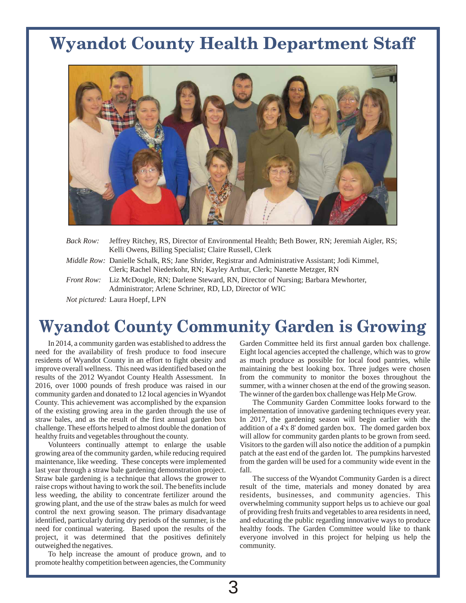# **Wyandot County Health Department Staff**



| Back Row:         | Jeffrey Ritchey, RS, Director of Environmental Health; Beth Bower, RN; Jeremiah Aigler, RS;                                                                                           |
|-------------------|---------------------------------------------------------------------------------------------------------------------------------------------------------------------------------------|
|                   | Kelli Owens, Billing Specialist; Claire Russell, Clerk                                                                                                                                |
|                   | <i>Middle Row:</i> Danielle Schalk, RS; Jane Shrider, Registrar and Administrative Assistant; Jodi Kimmel,<br>Clerk; Rachel Niederkohr, RN; Kayley Arthur, Clerk; Nanette Metzger, RN |
| <i>Front Row:</i> | Liz McDougle, RN; Darlene Steward, RN, Director of Nursing; Barbara Mewhorter,<br>Administrator; Arlene Schriner, RD, LD, Director of WIC                                             |

*Not pictured:* Laura Hoepf, LPN

# **Wyandot County Community Garden is Growing**

3

need for the availability of fresh produce to food insecure Eight local agencies accepted the challenge, which was to grow residents of Wyandot County in an effort to fight obesity and as much produce as possible for local food pantries, while improve overall wellness. This need was identified based on the maintaining the best looking box. Thr results of the 2012 Wyandot County Health Assessment. In from the community to monitor the boxes throughout the 2016, over 1000 pounds of fresh produce was raised in our summer, with a winner chosen at the end of the growing season. community garden and donated to 12 local agencies in Wyandot The winner of the garden box challenge was Help Me Grow. County. This achievement was accomplished by the expansion The Community Garden Committee looks forward to the of the existing growing area in the garden through the use of implementation of innovative gardening techniques every year. straw bales, and as the result of the first annual garden box In 2017, the gardening season will begin earlier with the challenge. These efforts helped to almost double the donation of addition of a 4'x 8' domed garden box. The domed garden box healthy fruits and vegetables throughout the county. will allow for community garden plants to be grown from seed.

growing area of the community garden, while reducing required patch at the east end of the garden lot. The pumpkins harvested maintenance, like weeding. These concepts were implemented from the garden will be used for a community wide event in the last year through a straw bale gardening demonstration project. fall. Straw bale gardening is a technique that allows the grower to The success of the Wyandot Community Garden is a direct raise crops without having to work the soil. The benefits include result of the time, materials and money donated by area less weeding, the ability to concentrate fertilizer around the residents, businesses, and community agencies. This growing plant, and the use of the straw bales as mulch for weed overwhelming community support helps us to achieve our goal control the next growing season. The primary disadvantage of providing fresh fruits and vegetables to area residents in need, identified, particularly during dry periods of the summer, is the and educating the public regarding innovative ways to produce need for continual watering. Based upon the results of the healthy foods. The Garden Committee would like to thank project, it was determined that the positives definitely everyone involved in this project for helping us help the outweighed the negatives.  $\blacksquare$ 

To help increase the amount of produce grown, and to promote healthy competition between agencies, the Community

In 2014, a community garden was established to address the Garden Committee held its first annual garden box challenge. maintaining the best looking box. Three judges were chosen

Volunteers continually attempt to enlarge the usable Visitors to the garden will also notice the addition of a pumpkin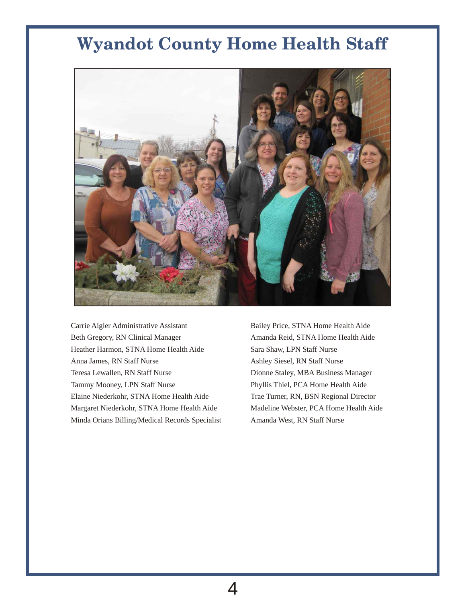# **Wyandot County Home Health Staff**



Carrie Aigler Administrative Assistant Bailey Price, STNA Home Health Aide Beth Gregory, RN Clinical Manager Amanda Reid, STNA Home Health Aide Heather Harmon, STNA Home Health Aide Sara Shaw, LPN Staff Nurse Anna James, RN Staff Nurse Ashley Siesel, RN Staff Nurse Teresa Lewallen, RN Staff Nurse Dionne Staley, MBA Business Manager Tammy Mooney, LPN Staff Nurse Phyllis Thiel, PCA Home Health Aide Elaine Niederkohr, STNA Home Health Aide Trae Turner, RN, BSN Regional Director Margaret Niederkohr, STNA Home Health Aide Madeline Webster, PCA Home Health Aide Minda Orians Billing/Medical Records Specialist Amanda West, RN Staff Nurse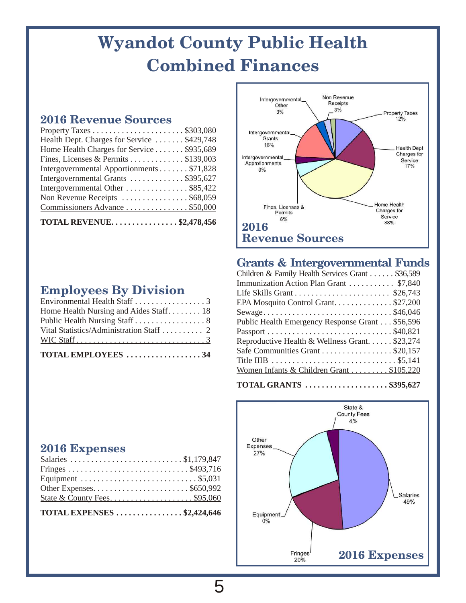# **Wyandot County Public Health Combined Finances**

# **2016 Revenue Sources**

| Health Dept. Charges for Service  \$429,748 |
|---------------------------------------------|
| Home Health Charges for Service \$935,689   |
| Fines, Licenses & Permits \$139,003         |
| Intergovernmental Apportionments \$71,828   |
| Intergovernmental Grants \$395,627          |
| Intergovernmental Other \$85,422            |
| Non Revenue Receipts \$68,059               |
| Commissioners Advance \$50,000              |
| <b>TOTAL REVENUE\$2,478,456</b>             |

# **Employees By Division**

| TOTAL EMPLOYEES 34                       |  |
|------------------------------------------|--|
|                                          |  |
| Vital Statistics/Administration Staff  2 |  |
| Public Health Nursing Staff 8            |  |
| Home Health Nursing and Aides Staff 18   |  |
| Environmental Health Staff 3             |  |



# **Grants & Intergovernmental Funds**

| Children & Family Health Services Grant \$36,589                                           |
|--------------------------------------------------------------------------------------------|
| Immunization Action Plan Grant  \$7,840                                                    |
|                                                                                            |
| EPA Mosquito Control Grant\$27,200                                                         |
|                                                                                            |
| Public Health Emergency Response Grant \$56,596                                            |
|                                                                                            |
| Reproductive Health & Wellness Grant \$23,274                                              |
| Safe Communities Grant \$20,157                                                            |
| Title IIIB $\ldots \ldots \ldots \ldots \ldots \ldots \ldots \ldots \ldots \ldots$ \$5,141 |
| Women Infants & Children Grant \$105,220                                                   |
|                                                                                            |

**TOTAL GRANTS . . . . . . . . . . . . . . . . . . . . \$395,627**



# **2016 Expenses**

| TOTAL EXPENSES $\ldots \ldots \ldots \ldots$ \$2,424,646 |  |
|----------------------------------------------------------|--|
|                                                          |  |
|                                                          |  |
|                                                          |  |
|                                                          |  |
|                                                          |  |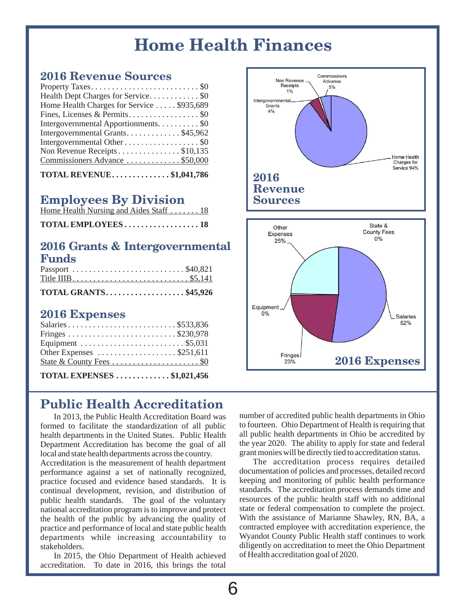# **Home Health Finances**

# **2016 Revenue Sources**

| Property Taxes\$0                         |  |
|-------------------------------------------|--|
| Health Dept Charges for Service\$0        |  |
| Home Health Charges for Service \$935,689 |  |
|                                           |  |
| Intergovernmental Apportionments. \$0     |  |
| Intergovernmental Grants\$45,962          |  |
| Intergovernmental Other \$0               |  |
| Non Revenue Receipts\$10,135              |  |
| Commissioners Advance \$50,000            |  |
|                                           |  |

| <b>TOTAL REVENUE.</b> $\dots\dots\dots\dots\dots$ \$1,041,786 |  |
|---------------------------------------------------------------|--|
|---------------------------------------------------------------|--|

# **Employees By Division**

| Home Health Nursing and Aides Staff  18 |  |  |  |  |
|-----------------------------------------|--|--|--|--|
|                                         |  |  |  |  |

# **2016 Grants & Intergovernmental Funds**

| TOTAL GRANTS\$45,926 |  |  |  |  |  |
|----------------------|--|--|--|--|--|
| Title IIIB\$5,141    |  |  |  |  |  |
| Passport \$40,821    |  |  |  |  |  |

# **2016 Expenses**

| TOTAL EXPENSES $\dots\dots\dots\dots$ \$1,021,456              |  |
|----------------------------------------------------------------|--|
|                                                                |  |
| Other Expenses $\dots \dots \dots \dots \dots \dots$ \$251,611 |  |
|                                                                |  |
|                                                                |  |
| Salaries\$533,836                                              |  |

**Public Health Accreditation**

# health departments in the United States. Public Health

Accreditation is the measurement of health department The accreditation process requires detailed<br>performance against a set of nationally recognized, documentation of policies and processes, detailed record performance against a set of nationally recognized, documentation of policies and processes, detailed record practice focused and evidence based standards. It is keeping and monitoring of public health performance continual development, revision, and distribution of standards. The accreditation process demands time and continual development, revision, and distribution of public health standards. The goal of the voluntary resources of the public health staff with no additional national accreditation program is to improve and protect state or federal compensation to complete the project. national accreditation program is to improve and protect state or federal compensation to complete the project.<br>the health of the public by advancing the quality of With the assistance of Marianne Shawley, RN, BA, a the health of the public by advancing the quality of With the assistance of Marianne Shawley, RN, BA, a the public bealth of the public bealth of the public beath of the public beath of the public beath of the public beath practice and performance of local and state public health contracted employee with accreditation experience, the departments while increasing accountability to Wyandot County Public Health staff continues to work departments while increasing accountability to

In 2015, the Ohio Department of Health achieved accreditation. To date in 2016, this brings the total



In 2013, the Public Health Accreditation Board was number of accredited public health departments in Ohio<br>ned to facilitate the standardization of all public to fourteen. Ohio Department of Health is requiring that formed to facilitate the standardization of all public to fourteen. Ohio Department of Health is requiring that health departments in the United States. Public Health all public health departments in Ohio be accredited by Department Accreditation has become the goal of all the year 2020. The ability to apply for state and federal local and state health departments across the country. <br>Accreditation is the measurement of health department<br>The accreditation process requires detailed

stakeholders.<br>In 2015, the Ohio Department of Health achieved of Health accreditation goal of 2020.

6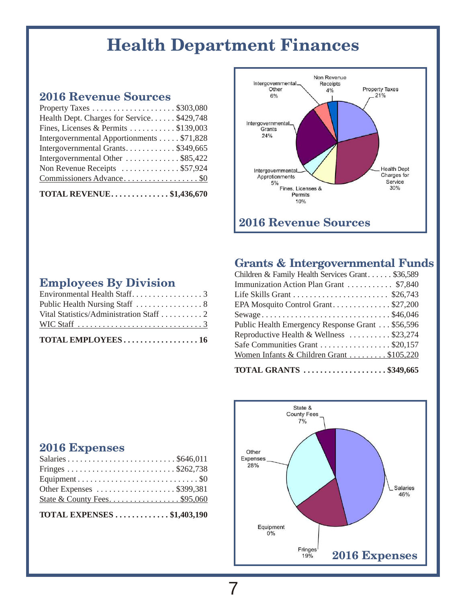# **Health Department Finances**

# **2016 Revenue Sources**

| Property Taxes \$303,080                   |  |
|--------------------------------------------|--|
| Health Dept. Charges for Service \$429,748 |  |
| Fines, Licenses & Permits  \$139,003       |  |
| Intergovernmental Apportionments \$71,828  |  |
| Intergovernmental Grants\$349,665          |  |
| Intergovernmental Other  \$85,422          |  |
| Non Revenue Receipts \$57,924              |  |
|                                            |  |
|                                            |  |

**TOTAL REVENUE. . . . . . . . . . . . . . \$1,436,670**

**Employees By Division**

Environmental Health Staff. . . . . . . . . . . . . . . . . 3 Public Health Nursing Staff . . . . . . . . . . . . . . . 8 Vital Statistics/Administration Staff . . . . . . . . . . 2 WIC Staff . . . . . . . . . . . . . . . . . . . . . . . . . . . . . . 3 **TOTAL EMPLOYEES . . . . . . . . . . . . . . . . . . 16**



# **Grants & Intergovernmental Funds**

| Children & Family Health Services Grant \$36,589 |
|--------------------------------------------------|
| Immunization Action Plan Grant  \$7,840          |
|                                                  |
| EPA Mosquito Control Grant\$27,200               |
|                                                  |
| Public Health Emergency Response Grant \$56,596  |
| Reproductive Health & Wellness \$23,274          |
| Safe Communities Grant \$20,157                  |
| Women Infants & Children Grant  \$105,220        |
|                                                  |

# **TOTAL GRANTS . . . . . . . . . . . . . . . . . . . . \$349,665**



# **2016 Expenses**

| Other Expenses \$399,381    |
|-----------------------------|
| State & County Fees\$95,060 |
|                             |

**TOTAL EXPENSES . . . . . . . . . . . . . \$1,403,190**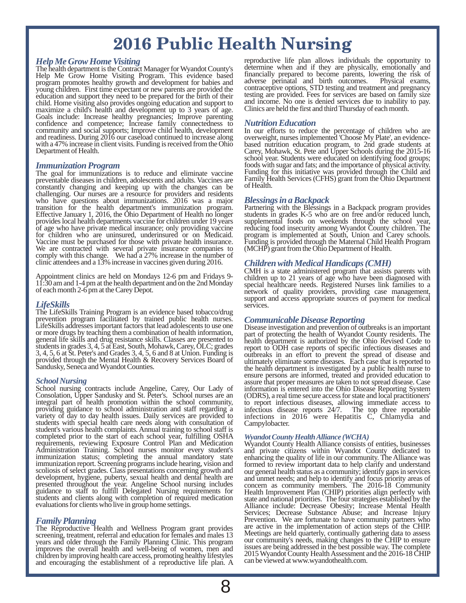# **2016 Public Health Nursing**

### *Help Me Grow Home Visiting*

Help Me Grow Home Visiting Program. This evidence based financially prepared to become parents, lowering the risk of program promotes healthy growth and development for babies and adverse perinatal and birth outcomes. Physical exams, Frogram promotes healthy growth and development for babies and<br>young children. First time expectant or new parents are provided the contraceptive options, STD testing and treatment and pregnancy<br>education and support they education and support they need to be prepared for the birth of their testing are provided. Fees for services are based on family size<br>child. Home visiting also provides ongoing education and support to and income. No one child. Home visiting also provides ongoing education and support to and income. No one is denied services due to inability maximize a child's health and development up to 3 years of age. Clinics are held the first and thir maximize a child's health and development up to 3 years of age. Goals include: Increase healthy pregnancies; Improve parenting confidence and competence; Increase family connectedness to community and social supports; Improve child health, development In our efforts to reduce the percentage of children who are and readiness. During 2016 our caseload continued to increase along overweight, nurses implemente and readiness. During  $2016$  our caseload continued to increase along with a  $47\%$  increase in client visits. Funding is received from the Ohio with a 47% increase in client visits. Funding is received from the Ohio based nutrition education program, to 2nd grade students at

### *Immunization Program*

The goal for immunizations is to reduce and eliminate vaccine Funding for this initiative was provided through the Child and preventable diseases in children, adolescents and adults. Vaccines are Family Health Services (CF preventable diseases in children, adolescents and adults. Vaccines are Family He<br>constantly changing and keeping up with the changes can be of Health. constantly changing and keeping up with the changes can be challenging. Our nurses are a resource for providers and residents who have questions about immunizations. 2016 was a major transition for the health department's immunization program. Partnering with the Blessings in a Backpack program provides Effective January 1, 2016, the Ohio Department of Health no longer students in grades K-5 who are on free and/or reduced lunch, provides local health departments vaccine for children under 19 years supplemental foods on weekends through the school year, of age who have private medical insurance; only providing vaccine reducing food insecurity among for children who are uninsured, underinsured or on Medicaid. program is implemented at South, Union and Carey schools. Vaccine must be purchased for those with private health insurance. Funding is provided through the Mate Vaccine must be purchased for those with private health insurance. Funding is provided through the Maternal Child He<br>We are contracted with several private insurance companies to (MCHP) grant from the Ohio Department of He We are contracted with several private insurance companies to (MCHP) grant from the Ohio Department of Health. comply with this change. We had a 27% increase in the number of clinic attendees and a 13% increase in vaccines given during 2016.

Appointment clinics are held on Mondays 12-6 pm and Fridays 9-<br>11:30 am and 1-4 pm at the health department and on the 2nd Monday<br>special healthcare needs. Registered Nurses link families to a 11:30 am and 1-4 pm at the health department and on the 2nd Monday special healthcare needs. Registered Nurses link families to a

### *LifeSkills*

The LifeSkills Training Program is an evidence based tobacco/drug prevention program facilitated by trained public health nurses. LifeSkills addresses important factors that lead adolescents to use one or more drugs by teaching them a combination of health information, general life skills and drug resistance skills. Classes are presented to health department is authorized by the Ohio Revised Code to students in grades 3, 4, 5 at East, South, Mohawk, Carey, OLC; grades report to ODH case students in grades 3, 4, 5 at East, South, Mohawk, Carey, OLC; grades report to ODH case reports of specific infectious diseases and 3, 4, 5, 6 at St. Peter's and Grades 3, 4, 5, 6 and 8 at Union. Funding is 3, 4, 5, 6 at St. Peter's and Grades 3, 4, 5, 6 and 8 at Union. Funding is outbreaks in an effort to prevent the spread of disease and provided through the Mental Health & Recovery Services Board of ultimately eliminate some diseases. Each case that is reported to

### *School Nursing*

School nursing contracts include Angeline, Carey, Our Lady of information is entered into the Ohio Disease Reporting System Consolation, Upper Sandusky and St. Peter's. School nurses are an (ODRS), a real time secure acces Consolation, Upper Sandusky and St. Peter's. School nurses are an integral part of health promotion within the school community, integral part of health promotion within the school community, to report infectious diseases, allowing immediate access to providing guidance to school administration and staff regarding a infectious disease reports 24/7. The top three reportable variety of day to day health issues. Daily services are provided to infections in 2016 were Hepatitis C, Chlamydia and students with special health care needs along with consultation of Campylobacter. student's various health complaints. Annual training to school staff is completed prior to the start of each school year, fulfilling OSHA requirements, reviewing Exposure Control Plan and Medication Wyandot County Health Alliance consists of entities, businesses Administration Training. School nurses monitor every student's and private citizens within Wyandot County dedicated to Administration Training. School nurses monitor every student's and private citizens within Wyandot County dedicated to immunization status; completing the annual mandatory state enhancing the quality of life in our communi immunization report. Screening programs include hearing, vision and<br>scoliosis of select grades. Class presentations concerning growth and<br>our general health status as a community; identify gaps in services scoliosis of select grades. Class presentations concerning growth and development, hygiene, puberty, sexual health and dental health are development, hygiene, puberty, sexual health and dental health are and unmet needs; and help to identify and focus priority areas of presented throughout the year. Angeline School nursing includes concern as community members. The 2016-18 Community guidance to staff to fulfill Delegated Nursing requirements for Health Improvement Plan (CHIP) priorities align perfectly with students and clients along with completion of required medication state and national priorities students and clients along with completion of required medication state and national priorities. The four strategies established by the evaluations for clients who live in group home settings.<br>Alliance include: Decrease Ob

## *Family Planning*

The Reproductive Health and Wellness Program grant provides are active in the implementation of action steps of the CHIP.<br>Screening, treatment, referral and education for females and males 13<br>metals are held quarterly, con bears and older through the Family Planning Clinic. This program<br>improves the overall health and well-being of women, men and<br>course are being addressed in the best possible way. The complete<br>children by improving health c

reproductive life plan allows individuals the opportunity to determine when and if they are physically, emotionally and The health department is the Contract Manager for Wyandot County's determine when and if they are physically, emotionally and

### *Nutrition Education*

Department of Health. Carey, Mohawk, St. Pete and Upper Schools during the 2015-16 school year. Students were educated on identifying food groups; foods with sugar and fats; and the importance of physical activity.

*Blessings in a Backpack*<br>Partnering with the Blessings in a Backpack program provides reducing food insecurity among Wyandot County children. The program is implemented at South, Union and Carey schools.

### *Children with Medical Handicaps (CMH)*

CMH is a state administered program that assists parents with of each month 2-6 pm at the Carey Depot.<br>
network of quality providers, providing case management, support and access appropriate sources of payment for medical services.

*Communicable Disease Reporting* part of protecting the health of Wyandot County residents. The health department is authorized by the Ohio Revised Code to provided through the Mental Health & Recovery Services Board of ultimately eliminate some diseases. Each case that is reported to the health department is investigated by a public health nurse to the health nurse to ensure persons are informed, treated and provided education to assure that proper measures are taken to not spread disease. Case

*Wyandot County Health Alliance (WCHA)* Alliance include: Decrease Obesity; Increase Mental Health Services; Decrease Substance Abuse; and Increase Injury Prevention. We are fortunate to have community partners who are active in the implementation of action steps of the CHIP.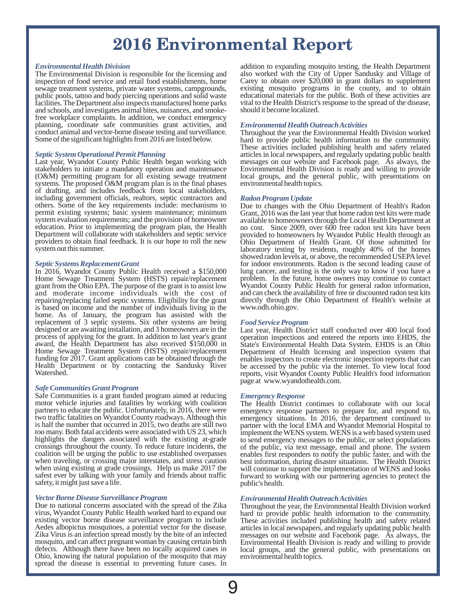# **2016 Environmental Report**

### *Environmental Health Division*

The Environmental Division is responsible for the licensing and inspection of food service and retail food establishments, home sewage treatment systems, private water systems, campgrounds, existing mosquito programs in the county, and to obtain public pools, tattoo and body piercing operations and solid waste educational materials for the public. public pools, tattoo and body piercing operations and solid waste educational materials for the public. Both of these activities are facilities. The Department also inspects manufactured home parks vital to the Health Dist facilities. The Department also inspects manufactured home parks vital to the Health District's and schools, and investigates animal bites, nuisances, and smoke-<br>should it become localized. and schools, and investigates animal bites, nuisances, and smokefree workplace complaints. In addition, we conduct emergency planning, coordinate safe communities grant activities, and conduct animal and vector-borne disease testing and surveillance. Throughout the year the Environmental Health Division worked

### *Septic System Operational Permit Planning*

stakeholders to initiate a mandatory operation and maintenance<br>(O&M) permitting program for all existing sewage treatment local groups, and the general public, with presentations on (O&M) permitting program for all existing sewage treatment local groups, and the general systems. The proposed O&M program plan is in the final phases environmental health topics. systems. The proposed  $O\&M$  program plan is in the final phases of drafting, and includes feedback from local stakeholders, including government officials, realtors, septic contractors and others. Some of the key requirements include: mechanisms to permit existing systems; basic system maintenance; minimum permit existing systems; basic system maintenance; minimum Grant, 2016 was the last year that home radon test kits were made system evaluation requirements; and the provision of homeowner available to homeowners through th system evaluation requirements; and the provision of homeowner available to homeowners through the Local Health Department at education. Prior to implementing the program plan, the Health no cost. Since 2009, over 600 free education. Prior to implementing the program plan, the Health no cost. Since 2009, over 600 free radon test kits have been<br>Department will collaborate with stakeholders and septic service provided to homeowners by Wyandot Department will collaborate with stakeholders and septic service provided to homeowners by Wyandot Public Health through an providers to obtain final feedback. It is our hope to roll the new Ohio Department of Health Grant providers to obtain final feedback. It is our hope to roll the new Ohio Department of Health Grant. Of those submitted for system out this summer.

### *Septic Systems Replacement Grant*

Home Sewage Treatment System (HSTS) repair/replacement problem. In the future, home owners may continue to contact grant from the Ohio EPA. The purpose of the grant is to assist low Wyandot County Public Health for general grant from the Ohio EPA. The purpose of the grant is to assist low Wyandot County Public Health for general radon information, and moderate income individuals with the cost of and can check the availability of free or disc and moderate income individuals with the cost of and can check the availability of free or discounted radon test kits repairing/replacing failed septic systems. Eligibility for the grant directly through the Ohio Departmen repairing/replacing failed septic systems. Eligibility for the grant directly through the is based on income and the number of individuals living in the www.odh.ohio.gov. is based on income and the number of individuals living in the home. As of January, the program has assisted with the replacement of 3 septic systems. Six other systems are being designed or are awaiting installation, and 3 homeowners are in the designed or are awaiting installation, and 3 homeowners are in the Last year, Health District staff conducted over 400 local food process of applying for the grant. In addition to last year's grant operation inspections an award, the Health Department has also received \$150,000 in State's Environmental Health Data System. EHDS is an Ohio funding for 2017. Grant applications can be obtained through the enables inspectors to create electronic inspection reports that can<br>Health Department or by contacting the Sandusky River be accessed by the public via the i Health Department or by contacting the Sandusky River Watershed.

### *Safe Communities Grant Program*

Safe Communities is a grant funded program aimed at reducing motor vehicle injuries and fatalities by working with coalition partners to educate the public. Unfortunately, in 2016, there were emergency response partners to prepare for, and respond to, two traffic fatalities on Wyandot County roadways. Although this emergency situations. In 2016, two traffic fatalities on Wyandot County roadways. Although this emergency situations. In 2016, the department continued to is half the number that occurred in 2015, two deaths are still two partner with the local EMA and Wyandot Memorial Hospital to too many. Both fatal accidents were associated with US 23, which implement the WENS system. WENS is a web based system used<br>highlights the dangers associated with the existing at-grade to send emergency messages to the pub crossings throughout the county. To reduce future incidents, the coalition will be urging the public to use established overpasses when traveling, or crossing major interstates, and stress caution when using existing at grade crossings. Help us make 2017 the when using existing at grade crossings. Help us make 2017 the will continue to support the implementation of WENS and looks safest ever by talking with your family and friends about traffic forward to working with our part safety, it might just save a life. public's health.

*Vector Borne Disease Surveillance Program Environmental Health Outreach Activities* virus, Wyandot County Public Health worked hard to expand our existing vector borne disease surveillance program to include Aedes albopictus mosquitoes, a potential vector for the disease. Zika Virus is an infection spread mostly by the bite of an infected mosquito, and can affect pregnant woman by causing certain birth defects. Although there have been no locally acquired cases in Ohio, knowing the natural population of the mosquito that may spread the disease is essential to preventing future cases. In

addition to expanding mosquito testing, the Health Department also worked with the City of Upper Sandusky and Village of Carey to obtain over \$20,000 in grant dollars to supplement existing mosquito programs in the county, and to obtain

### *Environmental Health Outreach Activities*

Some of the significant highlights from 2016 are listed below. hard to provide public health information to the community. These activities included publishing health and safety related articles in local newspapers, and regularly updating public health Last year, Wyandot County Public Health began working with messages on our website and Facebook page. As always, the stakeholders to initiate a mandatory operation and maintenance Environmental Health Division is ready and

*Radon Program Update* laboratory testing by residents, roughly 40% of the homes showed radon levels at, or above, the recommended USEPA level for indoor environments. Radon is the second leading cause of lung cancer, and testing is the only way to know if you have a In 2016, Wyandot County Public Health received a \$150,000 lung cancer, and testing is the only way to know if you have a Home Sewage Treatment System (HSTS) repair/replacement problem. In the future, home owners may contin

### *Food Service Program*

operation inspections and entered the reports into EHDS, the Department of Health licensing and inspection system that enables inspectors to create electronic inspection reports that can reports, visit Wyandot County Public Health's food information page at www.wyandothealth.com.

*Emergency Response* to send emergency messages to the public, or select populations of the public, via text message, email and phone. The system enables first responders to notify the public faster, and with the best information, during disaster situations. The Health District forward to working with our partnering agencies to protect the

Throughout the year, the Environmental Health Division worked hard to provide public health information to the community. These activities included publishing health and safety related articles in local newspapers, and regularly updating public health messages on our website and Facebook page. As always, the Environmental Health Division is ready and willing to provide local groups, and the general public, with presentations on environmental health topics.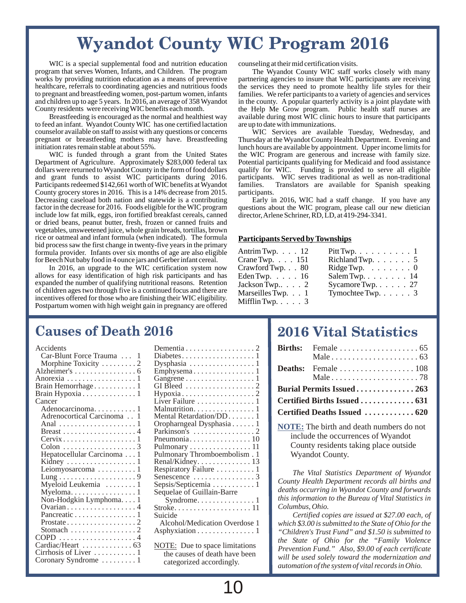# **Wyandot County WIC Program 2016**

WIC is a special supplemental food and nutrition education counseling at their mid certification visits.<br>program that serves Women, Infants, and Children. The program The Wyandot County WIC staff w program that serves Women, Infants, and Children. The program The Wyandot County WIC staff works closely with many works by providing nutrition education as a means of preventive partnering agencies to insure that WIC part works by providing nutrition education as a means of preventive partnering agencies to insure that WIC participants are receiving healthcare, referrals to coordinating agencies and nutritious foods the services they need t to pregnant and breastfeeding women, post-partum women, infants families. We refer participants to a variety of agencies and services and children up to age 5 years. In 2016, an average of 358 Wyandot in the county. A popu

to feed an infant. Wyandot County WIC has one certified lactation counselor available on staff to assist with any questions or concerns WIC Services are available Tuesday, Wednesday, and pregnant or breastfeeding mothers may have. Breastfeeding Thursday at the Wyandot County Health Depar pregnant or breastfeeding mothers may have. Breastfeeding initiation rates remain stable at about 55%.

WIC is funded through a grant from the United States Department of Agriculture. Approximately \$283,000 federal tax Department of Agriculture. Approximately \$283,000 federal tax Potential participants qualifying for Medicaid and food assistance dollars dollars dollars dollars equality for WIC. Funding is provided to serve all eligible dollars were returned to Wyandot County in the form of food dollars qualify for WIC. Funding is provided to serve all eligible and grant funds to assist WIC participants during 2016. participants. WIC serves traditional as Participants redeemed \$142,661 worth of WIC benefits at Wyandot families. County grocery stores in 2016. This is a 14% decrease from 2015. participants.<br>Decreasing caseload both nation and statewide is a contributing Early in Decreasing caseload both nation and statewide is a contributing Early in 2016, WIC had a staff change. If you have any factor in the decrease for 2016. Foods eligible for the WIC program questions about the WIC program, pl include low fat milk, eggs, iron fortified breakfast cereals, canned or dried beans, peanut butter, fresh, frozen or canned fruits and vegetables, unsweetened juice, whole grain breads, tortillas, brown rice or oatmeal and infant formula (when indicated). The formula **Participants Served by Townships** bid process saw the first change in twenty-five years in the primary formula provider. Infants over six months of age are also eligible for Beech Nut baby food in 4 ounce jars and Gerber infant cereal.

In 2016, an upgrade to the WIC certification system now allows for easy identification of high risk participants and has expanded the number of qualifying nutritional reasons. Retention of children ages two through five is a continued focus and there are incentives offered for those who are finishing their WIC eligibility. Postpartum women with high weight gain in pregnancy are offered

the services they need to promote healthy life styles for their and children up to age 5 years. In 2016, an average of 358 Wyandot in the county. A popular quarterly activity is a joint playdate with County residents were receiving WIC benefits each month. the Help Me Grow program. Pub nty residents were receiving WIC benefits each month. the Help Me Grow program. Public health staff nurses are<br>Breastfeeding is encouraged as the normal and healthiest way available during most WIC clinic hours to insure t available during most WIC clinic hours to insure that participants are up to date with immunizations.

> lunch hours are available by appointment. Upper income limits for the WIC Program are generous and increase with family size. participants. WIC serves traditional as well as non-traditional families. Translators are available for Spanish speaking

> questions about the WIC program, please call our new dietician director Arlene Schriner, RD, LD, at 419-294-3341.

| Antrim Twp. $\ldots$ 12 |  |
|-------------------------|--|
| Crane Twp. $\ldots$ 151 |  |
| Crawford Twp. 80        |  |
| Eden Twp. $\ldots$ 16   |  |
| Jackson Twp $\ldots$ 2  |  |
| Marseilles Twp. 1       |  |
| Mifflin Twp. $\ldots$ 3 |  |

| Antrim Twp. $\ldots$ 12    | $Pitt \, \text{Twp.} \ldots \ldots \ldots \ldots \text{!}$   |
|----------------------------|--------------------------------------------------------------|
| Crane Twp. $\ldots$ 151    | Richland Twp. $\ldots \ldots 5$                              |
| Crawford Twp. $\ldots$ 80  | $\text{Ridge}\,\text{Twp.}\quad \ldots \quad \ldots \quad 0$ |
| Eden Twp. $\ldots$ 16      | Salem Twp. $\ldots$ $\ldots$ $\ldots$ 14                     |
| Jackson Twp2               | Sycamore Twp. $\ldots$ . 27                                  |
| Marseilles Twp. $\ldots$ 1 | Tymochtee Twp. $\ldots$ . 3                                  |
|                            |                                                              |

# **Causes of Death 2016**

| Accidents                                      | Dementia                          |
|------------------------------------------------|-----------------------------------|
| Car-Blunt Force Trauma  1                      | Diabetes                          |
| Morphine Toxicity 2                            | Dysphasia                         |
|                                                | Emphysema                         |
| Anorexia 1                                     | Gangrene                          |
| Brain Hemorrhage 1                             | GI Bleed                          |
|                                                | Hypoxia                           |
| Cancer                                         | Liver Failure                     |
| Adenocarcinoma 1                               | Malnutrition                      |
| Adrenocortical Carcinoma 1                     | Mental Retardation/DD             |
|                                                | Oropharngeal Dysphasia            |
|                                                | Parkinson's                       |
| $Cervix \ldots \ldots \ldots \ldots \ldots 1$  | Pneumonia                         |
|                                                | Pulmonary                         |
| Hepatocellular Carcinoma 1                     | Pulmonary Thromboemboli           |
| Kidney $\dots \dots \dots \dots \dots \dots 1$ | Renal/Kidney.                     |
| Leiomyosarcoma $\ldots \ldots \ldots 1$        | Respiratory Failure               |
|                                                | Senescence                        |
| Myeloid Leukemia  1                            | Sepsis/Septicemia $\ldots \ldots$ |
| Myeloma1                                       | Sequelae of Guillain-Barre        |
| Non-Hodgkin Lymphoma1                          | $Symdrome. \ldots \ldots$         |
| Ovarian4                                       | Stroke                            |
| Pancreatic 1                                   | Suicide                           |
|                                                | Alcohol/Medication Over           |
| Stomach 2                                      | Asphyxiation                      |
|                                                |                                   |
| Cardiac/Heart  63                              | <b>NOTE:</b> Due to space limita  |
| Cirrhosis of Liver  1                          | the causes of death have          |

| Accidents<br>Car-Blunt Force Trauma  1<br>Morphine Toxicity 2<br>Anorexia 1 | Dysphasia $\ldots \ldots \ldots \ldots \ldots 1$<br>Emphysema1<br>Gangrene $\dots \dots \dots \dots \dots \dots 1$ |
|-----------------------------------------------------------------------------|--------------------------------------------------------------------------------------------------------------------|
| Brain Hemorrhage1                                                           | GI Bleed $\ldots \ldots \ldots \ldots \ldots 2$                                                                    |
| Brain Hypoxia 1                                                             |                                                                                                                    |
| Cancer                                                                      | Liver Failure $\dots \dots \dots \dots \dots 1$                                                                    |
| Adenocarcinoma1                                                             |                                                                                                                    |
| Adrenocortical Carcinoma1                                                   | Mental Retardation/DD1                                                                                             |
|                                                                             | Oropharngeal Dysphasia1                                                                                            |
|                                                                             | Parkinson's $\dots\dots\dots\dots\dots2$                                                                           |
| $Cervix \ldots \ldots \ldots \ldots \ldots 1$                               |                                                                                                                    |
|                                                                             | Pulmonary $\dots \dots \dots \dots \dots \dots 11$                                                                 |
| Hepatocellular Carcinoma 1                                                  | Pulmonary Thromboembolism. 1                                                                                       |
| Kidney $\dots \dots \dots \dots \dots \dots 1$                              | Renal/Kidney13                                                                                                     |
| Leiomyosarcoma $\ldots \ldots \ldots 1$                                     | Respiratory Failure 1                                                                                              |
|                                                                             | Senescence $\dots\dots\dots\dots\dots3$                                                                            |
| Myeloid Leukemia  1                                                         | Sepsis/Septicemia $\dots \dots \dots 1$                                                                            |
|                                                                             | Sequelae of Guillain-Barre                                                                                         |
| Non-Hodgkin Lymphoma1                                                       |                                                                                                                    |
| Ovarian 4                                                                   | Stroke11                                                                                                           |
| Pancreatic 1                                                                | Suicide                                                                                                            |
|                                                                             | Alcohol/Medication Overdose 1                                                                                      |
| Stomach 2                                                                   | Asphyxiation $\ldots \ldots \ldots \ldots 1$                                                                       |
| $COPD$ 4                                                                    |                                                                                                                    |
| Cardiac/Heart  63                                                           | <b>NOTE:</b> Due to space limitations                                                                              |
| Cirrhosis of Liver  1                                                       | the causes of death have been                                                                                      |
| Coronary Syndrome $\dots \dots 1$                                           | categorized accordingly.                                                                                           |

# **2016 Vital Statistics**

|  | Male $\ldots \ldots \ldots \ldots \ldots \ldots \ldots$ . 78 |
|--|--------------------------------------------------------------|
|  | Burial Permits Issued 263                                    |
|  |                                                              |
|  | Certified Deaths Issued  620                                 |

**NOTE:** The birth and death numbers do not include the occurrences of Wyandot County residents taking place outside Wyandot County.

*The Vital Statistics Department of Wyandot County Health Department records all births and deaths occurring in Wyandot County and forwards this information to the Bureau of Vital Statistics in Columbus, Ohio.*

*Certified copies are issued at \$27.00 each, of which \$3.00 is submitted to the State of Ohio for the "Children's Trust Fund" and \$1.50 is submitted to the State of Ohio for the "Family Violence Prevention Fund." Also, \$9.00 of each certificate will be used solely toward the modernization and automation of the system of vital records in Ohio.*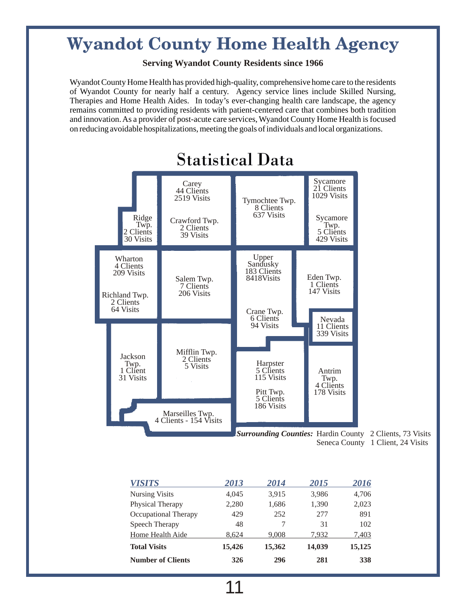# **Wyandot County Home Health Agency**

# **Serving Wyandot County Residents since 1966**

Wyandot County Home Health has provided high-quality, comprehensive home care to the residents of Wyandot County for nearly half a century. Agency service lines include Skilled Nursing, Therapies and Home Health Aides. In today's ever-changing health care landscape, the agency remains committed to providing residents with patient-centered care that combines both tradition and innovation. As a provider of post-acute care services, Wyandot County Home Health is focused on reducing avoidable hospitalizations, meeting the goals of individuals and local organizations.



# Statistical Data

Surrounding Counties: Hardin County 2 Clients, 73 Visits Seneca County 1 Client, 24 Visits

| <b>VISITS</b>            | 2013   | 2014   | 2015   | 2016   |
|--------------------------|--------|--------|--------|--------|
| <b>Nursing Visits</b>    | 4.045  | 3,915  | 3,986  | 4,706  |
| Physical Therapy         | 2,280  | 1,686  | 1,390  | 2,023  |
| Occupational Therapy     | 429    | 252    | 2.77   | 891    |
| Speech Therapy           | 48     |        | 31     | 102    |
| Home Health Aide         | 8.624  | 9.008  | 7.932  | 7,403  |
| <b>Total Visits</b>      | 15,426 | 15,362 | 14,039 | 15,125 |
| <b>Number of Clients</b> | 326    | 296    | 281    | 338    |